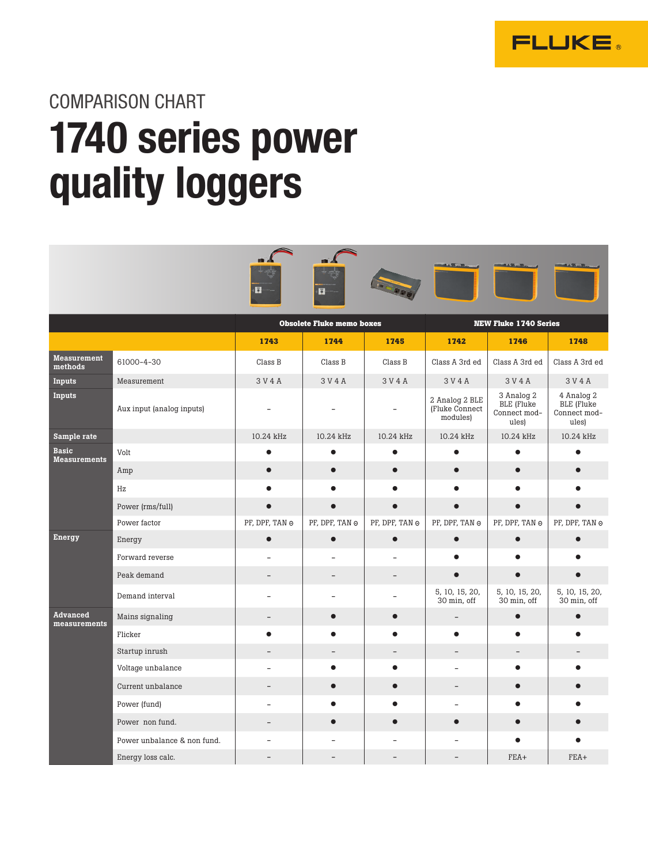

COMPARISON CHART

## 1740 series power quality loggers

|                                     |                             | 13.                      | 8                                |                |                                              |                                                   |                                                   |  |
|-------------------------------------|-----------------------------|--------------------------|----------------------------------|----------------|----------------------------------------------|---------------------------------------------------|---------------------------------------------------|--|
|                                     |                             |                          | <b>Obsolete Fluke memo boxes</b> |                | <b>NEW Fluke 1740 Series</b>                 |                                                   |                                                   |  |
|                                     |                             | 1745<br>1743<br>1744     |                                  |                | 1742                                         | 1746                                              | 1748                                              |  |
| <b>Measurement</b><br>methods       | 61000-4-30                  | Class B                  | Class B                          | Class B        | Class A 3rd ed                               | Class A 3rd ed                                    | Class A 3rd ed                                    |  |
| Inputs                              | Measurement                 | 3 V 4 A                  | 3 V 4 A                          | 3 V 4 A        | 3 V 4 A                                      | 3 V 4 A                                           | 3 V 4 A                                           |  |
| Inputs                              | Aux input (analog inputs)   |                          |                                  |                | 2 Analog 2 BLE<br>(Fluke Connect<br>modules) | 3 Analog 2<br>BLE (Fluke<br>Connect mod-<br>ules) | 4 Analog 2<br>BLE (Fluke<br>Connect mod-<br>ules) |  |
| Sample rate                         |                             | 10.24 kHz                | 10.24 kHz                        | 10.24 kHz      | 10.24 kHz                                    | 10.24 kHz                                         | 10.24 kHz                                         |  |
| <b>Basic</b><br><b>Measurements</b> | Volt                        | $\bullet$                | $\bullet$                        | $\bullet$      | $\bullet$                                    | $\bullet$                                         | $\bullet$                                         |  |
|                                     | Amp                         | $\bullet$                | $\bullet$                        | $\bullet$      | $\bullet$                                    | $\bullet$                                         |                                                   |  |
|                                     | Hz                          |                          |                                  |                |                                              |                                                   |                                                   |  |
|                                     | Power (rms/full)            | $\bullet$                |                                  |                |                                              |                                                   |                                                   |  |
|                                     | Power factor                | PF, DPF, TAN ⊝           | PF, DPF, TAN ⊝                   | PF, DPF, TAN ℮ | PF, DPF, TAN ⊝                               | PF, DPF, TAN ⊝                                    | PF, DPF, TAN ℮                                    |  |
| <b>Energy</b>                       | Energy                      | $\bullet$                | $\bullet$                        | $\bullet$      | $\bullet$                                    | $\bullet$                                         | Ċ                                                 |  |
|                                     | Forward reverse             |                          |                                  |                |                                              |                                                   |                                                   |  |
|                                     | Peak demand                 | $\equiv$                 | $\equiv$                         |                | $\bullet$                                    | $\bullet$                                         |                                                   |  |
|                                     | Demand interval             |                          |                                  |                | 5, 10, 15, 20,<br>30 min, off                | 5, 10, 15, 20,<br>30 min, off                     | 5, 10, 15, 20,<br>30 min, off                     |  |
| <b>Advanced</b><br>measurements     | Mains signaling             |                          | $\bullet$                        | $\bullet$      |                                              | $\bullet$                                         | $\bullet$                                         |  |
|                                     | Flicker                     | $\bullet$                |                                  |                | $\bullet$                                    | $\bullet$                                         |                                                   |  |
|                                     | Startup inrush              | $\overline{a}$           | $\overline{a}$                   | $\equiv$       | $\equiv$                                     | $\overline{a}$                                    |                                                   |  |
|                                     | Voltage unbalance           |                          | $\bullet$                        | $\bullet$      |                                              | $\bullet$                                         |                                                   |  |
|                                     | Current unbalance           | $\qquad \qquad -$        | $\bullet$                        | $\bullet$      |                                              | $\bullet$                                         |                                                   |  |
|                                     | Power (fund)                | $\equiv$                 |                                  |                |                                              |                                                   |                                                   |  |
|                                     | Power non fund.             | $\overline{\phantom{a}}$ | ●                                |                | O                                            | O                                                 |                                                   |  |
|                                     | Power unbalance & non fund. |                          |                                  |                |                                              |                                                   |                                                   |  |
|                                     | Energy loss calc.           | $\overline{\phantom{0}}$ |                                  |                |                                              | FEA+                                              | FEA+                                              |  |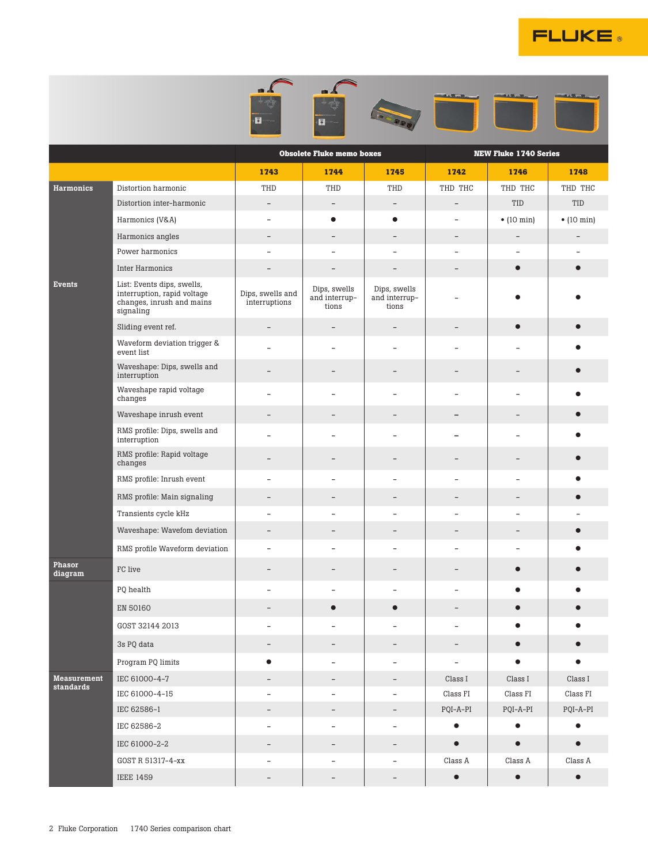

|                                 |                                                                                                     | E.                                | Ы                                      |                                        |                              |                          |                    |  |
|---------------------------------|-----------------------------------------------------------------------------------------------------|-----------------------------------|----------------------------------------|----------------------------------------|------------------------------|--------------------------|--------------------|--|
|                                 |                                                                                                     |                                   | <b>Obsolete Fluke memo boxes</b>       |                                        | <b>NEW Fluke 1740 Series</b> |                          |                    |  |
|                                 |                                                                                                     | 1743                              | 1744                                   | 1745                                   | 1742                         | 1746                     | 1748               |  |
| <b>Harmonics</b>                | Distortion harmonic                                                                                 | THD                               | THD                                    | THD                                    | THD THC                      | THD THC                  | THD THC            |  |
|                                 | Distortion inter-harmonic                                                                           | $\overline{\phantom{a}}$          | $\overline{\phantom{a}}$               | $\overline{\phantom{a}}$               | $\overline{\phantom{0}}$     | TID                      | TID                |  |
|                                 | Harmonics (V&A)                                                                                     |                                   | $\bullet$                              | $\bullet$                              | -                            | $\bullet$ (10 min)       | $\bullet$ (10 min) |  |
|                                 | Harmonics angles                                                                                    |                                   |                                        |                                        | $\overline{\phantom{0}}$     | $\overline{\phantom{0}}$ |                    |  |
|                                 | Power harmonics                                                                                     |                                   |                                        |                                        | L,                           |                          |                    |  |
|                                 | Inter Harmonics                                                                                     |                                   | $\qquad \qquad -$                      | $\overline{\phantom{m}}$               | -                            | $\bullet$                |                    |  |
| Events                          | List: Events dips, swells,<br>interruption, rapid voltage<br>changes, inrush and mains<br>signaling | Dips, swells and<br>interruptions | Dips, swells<br>and interrup-<br>tions | Dips, swells<br>and interrup-<br>tions |                              |                          |                    |  |
|                                 | Sliding event ref.                                                                                  | $\overline{\phantom{a}}$          | -                                      | $\qquad \qquad -$                      | -                            | ●                        |                    |  |
|                                 | Waveform deviation trigger &<br>event list                                                          |                                   | ÷,                                     | ÷                                      | $\overline{\phantom{0}}$     |                          |                    |  |
|                                 | Waveshape: Dips, swells and<br>interruption                                                         |                                   |                                        |                                        |                              |                          |                    |  |
|                                 | Waveshape rapid voltage<br>changes                                                                  |                                   |                                        |                                        | L,                           |                          |                    |  |
|                                 | Waveshape inrush event                                                                              |                                   |                                        |                                        |                              |                          |                    |  |
|                                 | RMS profile: Dips, swells and<br>interruption                                                       |                                   |                                        |                                        |                              |                          |                    |  |
|                                 | RMS profile: Rapid voltage<br>changes                                                               |                                   | $\overline{\phantom{0}}$               | ۰                                      | $\equiv$                     | $\overline{\phantom{0}}$ |                    |  |
|                                 | RMS profile: Inrush event                                                                           |                                   |                                        |                                        | ÷,                           | L.                       |                    |  |
|                                 | RMS profile: Main signaling                                                                         | -                                 | -                                      | $\overline{\phantom{a}}$               | $\qquad \qquad -$            | $\qquad \qquad -$        |                    |  |
|                                 | Transients cycle kHz                                                                                |                                   |                                        |                                        | -                            |                          |                    |  |
|                                 | Waveshape: Wavefom deviation                                                                        | $\equiv$                          | -                                      |                                        | -                            |                          |                    |  |
|                                 | RMS profile Waveform deviation                                                                      |                                   |                                        |                                        | $\overline{a}$               |                          |                    |  |
| Phasor<br>diagram               | FC live                                                                                             |                                   |                                        |                                        |                              |                          |                    |  |
|                                 | PQ health                                                                                           | Ξ.                                | $\overline{\phantom{0}}$               | $\overline{\phantom{a}}$               | $\overline{\phantom{0}}$     | $\bullet$                | ●                  |  |
|                                 | EN 50160                                                                                            | $\qquad \qquad -$                 | $\bullet$                              | $\bullet$                              | $\overline{\phantom{0}}$     | $\bullet$                |                    |  |
|                                 | GOST 32144 2013                                                                                     | $\overline{\phantom{0}}$          | -                                      | $\qquad \qquad -$                      | -                            | $\bullet$                |                    |  |
|                                 | 3s PQ data                                                                                          |                                   |                                        |                                        |                              | $\bullet$                |                    |  |
|                                 | Program PQ limits                                                                                   | $\bullet$                         | $\overline{\phantom{0}}$               | $\overline{\phantom{a}}$               | $\qquad \qquad \blacksquare$ | $\bullet$                | $\bullet$          |  |
| <b>Measurement</b><br>standards | IEC 61000-4-7                                                                                       | $\qquad \qquad -$                 | $\qquad \qquad -$                      | $\overline{\phantom{a}}$               | $\rm Class~I$                | $\rm Class~I$            | $\rm Class~I$      |  |
|                                 | IEC 61000-4-15                                                                                      | $\overline{\phantom{a}}$          | ۰                                      | $\overline{\phantom{a}}$               | Class FI                     | Class FI                 | $\rm Class~FI$     |  |
|                                 | IEC 62586-1                                                                                         | $\overline{\phantom{a}}$          | -                                      | $\overline{\phantom{a}}$               | $PQI-A-PI$                   | $PQI-A-PI$               | $PQI-A-PI$         |  |
|                                 | IEC 62586-2                                                                                         | ÷,                                | $\overline{\phantom{0}}$               | $\overline{\phantom{a}}$               | $\bullet$                    | $\bullet$                | $\bullet$          |  |
|                                 | IEC 61000-2-2                                                                                       | $\qquad \qquad -$                 | $\qquad \qquad -$                      | $\qquad \qquad -$                      | $\bullet$                    | $\bullet$                | $\bullet$          |  |
|                                 | GOST R 51317-4-xx                                                                                   |                                   | -                                      | $\overline{\phantom{a}}$               | Class A                      | Class A                  | Class A            |  |
|                                 | <b>IEEE 1459</b>                                                                                    | $\overline{\phantom{a}}$          | -                                      | $\overline{\phantom{a}}$               | $\bullet$                    | $\bullet$                | $\bullet$          |  |